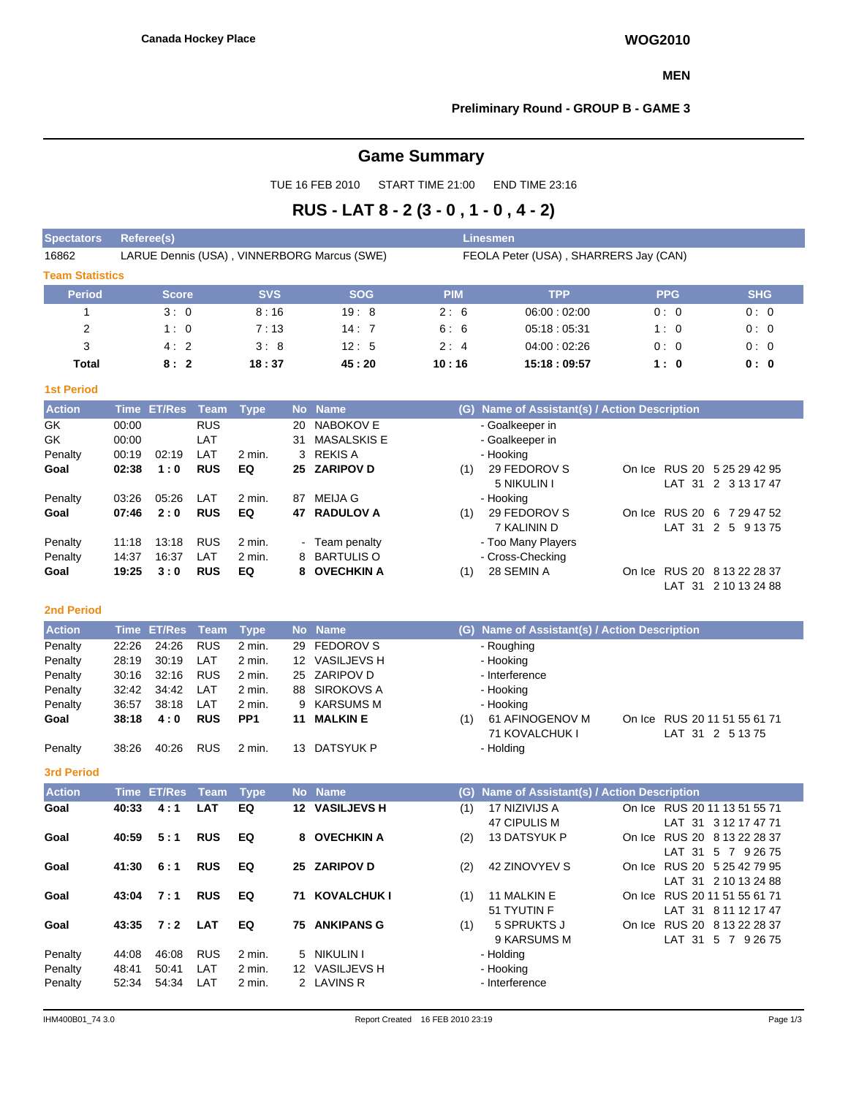### **MEN**

# **Preliminary Round - GROUP B - GAME 3**

# **Game Summary**

TUE 16 FEB 2010 START TIME 21:00 END TIME 23:16

# **RUS - LAT 8 - 2 (3 - 0 , 1 - 0 , 4 - 2)**

| <b>Spectators</b>      | Referee(s)                                  |            |            | <b>Linesmen</b> |                                       |            |            |
|------------------------|---------------------------------------------|------------|------------|-----------------|---------------------------------------|------------|------------|
| 16862                  | LARUE Dennis (USA), VINNERBORG Marcus (SWE) |            |            |                 | FEOLA Peter (USA), SHARRERS Jay (CAN) |            |            |
| <b>Team Statistics</b> |                                             |            |            |                 |                                       |            |            |
| <b>Period</b>          | <b>Score</b>                                | <b>SVS</b> | <b>SOG</b> | <b>PIM</b>      | <b>TPP</b>                            | <b>PPG</b> | <b>SHG</b> |
|                        | 3:0                                         | 8:16       | 19:8       | 2:6             | 06:00:02:00                           | 0:0        | 0:0        |
| 2                      | 1:0                                         | 7:13       | 14:7       | 6:6             | 05:18:05:31                           | 1:0        | 0:0        |
| 3                      | 4:2                                         | 3:8        | 12:5       | 2:4             | 04:00:02:26                           | 0:0        | 0:0        |
| <b>Total</b>           | 8:2                                         | 18:37      | 45:20      | 10:16           | 15:18:09:57                           | 1:0        | 0: 0       |

# **1st Period**

| <b>Action</b> |       | Time ET/Res Team |            | <b>T</b> vpe |    | No Name        | (G) | Name of Assistant(s) / Action Description   |                      |
|---------------|-------|------------------|------------|--------------|----|----------------|-----|---------------------------------------------|----------------------|
| GK            | 00:00 |                  | <b>RUS</b> |              | 20 | NABOKOV E      |     | - Goalkeeper in                             |                      |
| GK            | 00:00 |                  | LAT        |              | 31 | MASALSKIS E    |     | - Goalkeeper in                             |                      |
| Penalty       | 00:19 | 02:19            | LAT        | 2 min.       |    | 3 REKIS A      |     | - Hooking                                   |                      |
| Goal          | 02:38 | 1:0              | <b>RUS</b> | EQ           |    | 25 ZARIPOV D   | (1) | 29 FEDOROV S<br>On Ice RUS 20 5 25 29 42 95 |                      |
|               |       |                  |            |              |    |                |     | 5 NIKULIN I                                 | LAT 31 2 3 13 17 47  |
| Penalty       | 03:26 | 05:26            | LAT        | 2 min.       | 87 | MEIJA G        |     | - Hooking                                   |                      |
| Goal          | 07:46 | 2:0              | <b>RUS</b> | EQ           |    | 47 RADULOV A   | (1) | 29 FEDOROV S<br>On Ice RUS 20 6 7 29 47 52  |                      |
|               |       |                  |            |              |    |                |     | 7 KALININ D                                 | LAT 31 2 5 9 13 75   |
| Penalty       | 11:18 | 13:18            | <b>RUS</b> | 2 min.       |    | - Team penalty |     | - Too Many Players                          |                      |
| Penalty       | 14:37 | 16:37            | LAT        | $2$ min.     |    | 8 BARTULIS O   |     | - Cross-Checking                            |                      |
| Goal          | 19:25 | 3:0              | <b>RUS</b> | EQ           |    | 8 OVECHKIN A   | (1) | 28 SEMIN A<br>On Ice RUS 20 8 13 22 28 37   |                      |
|               |       |                  |            |              |    |                |     | LAT                                         | $31 \quad 210132488$ |

#### **2nd Period**

| <b>Action</b> |       | Time ET/Res Team Type |            |                 |    | No Name        |     | (G) Name of Assistant(s) / Action Description |                              |
|---------------|-------|-----------------------|------------|-----------------|----|----------------|-----|-----------------------------------------------|------------------------------|
| Penalty       | 22:26 | 24:26                 | <b>RUS</b> | 2 min.          |    | 29 FEDOROV S   |     | - Roughing                                    |                              |
| Penalty       | 28:19 | 30:19                 | LAT        | 2 min.          |    | 12 VASILJEVS H |     | - Hooking                                     |                              |
| Penalty       | 30:16 | 32:16                 | <b>RUS</b> | 2 min.          |    | 25 ZARIPOV D   |     | - Interference                                |                              |
| Penalty       | 32:42 | 34:42                 | LAT        | 2 min.          |    | 88 SIROKOVS A  |     | - Hooking                                     |                              |
| Penalty       | 36:57 | 38:18                 | LAT        | 2 min.          |    | 9 KARSUMS M    |     | - Hooking                                     |                              |
| Goal          | 38:18 | 4:0                   | <b>RUS</b> | PP <sub>1</sub> |    | 11 MALKIN E    | (1) | 61 AFINOGENOV M                               | On Ice RUS 20 11 51 55 61 71 |
|               |       |                       |            |                 |    |                |     | 71 KOVALCHUK I                                | LAT 31 2 5 13 75             |
| Penalty       | 38:26 | 40:26                 | <b>RUS</b> | 2 min.          | 13 | DATSYUK P      |     | - Holding                                     |                              |

#### **3rd Period**

| <b>Action</b> |       | Time ET/Res Team Type |            |        |    | No Name            |     | (G) Name of Assistant(s) / Action Description |        |                              |
|---------------|-------|-----------------------|------------|--------|----|--------------------|-----|-----------------------------------------------|--------|------------------------------|
| Goal          | 40:33 | 4:1                   | <b>LAT</b> | EQ     |    | 12 VASILJEVS H     | (1) | 17 NIZIVIJS A                                 |        | On Ice RUS 20 11 13 51 55 71 |
|               |       |                       |            |        |    |                    |     | 47 CIPULIS M                                  |        | LAT 31 3 12 17 47 71         |
| Goal          | 40:59 | 5:1                   | <b>RUS</b> | EQ     |    | 8 OVECHKIN A       | (2) | <b>13 DATSYUK P</b>                           |        | On Ice RUS 20 8 13 22 28 37  |
|               |       |                       |            |        |    |                    |     |                                               |        | LAT 31 5 7 9 26 75           |
| Goal          | 41:30 | 6:1                   | <b>RUS</b> | EQ     |    | 25 ZARIPOV D       | (2) | 42 ZINOVYEV S                                 |        | On Ice RUS 20 5 25 42 79 95  |
|               |       |                       |            |        |    |                    |     |                                               |        | LAT 31 2 10 13 24 88         |
| Goal          | 43:04 | 7:1                   | <b>RUS</b> | EQ     | 71 | <b>KOVALCHUK I</b> | (1) | 11 MALKIN E                                   | On Ice | RUS 20 11 51 55 61 71        |
|               |       |                       |            |        |    |                    |     | 51 TYUTIN F                                   |        | LAT 31 8 11 12 17 47         |
| Goal          | 43:35 | 7:2                   | <b>LAT</b> | EQ     | 75 | <b>ANKIPANS G</b>  | (1) | 5 SPRUKTS J                                   | On Ice | RUS 20 8 13 22 28 37         |
|               |       |                       |            |        |    |                    |     | 9 KARSUMS M                                   |        | LAT 31 5 7 9 26 75           |
| Penalty       | 44:08 | 46:08                 | <b>RUS</b> | 2 min. |    | 5 NIKULIN I        |     | - Holding                                     |        |                              |
| Penalty       | 48:41 | 50:41                 | LAT        | 2 min. |    | 12 VASILJEVS H     |     | - Hooking                                     |        |                              |
| Penalty       | 52:34 | 54:34                 | LAT        | 2 min. |    | 2 LAVINS R         |     | - Interference                                |        |                              |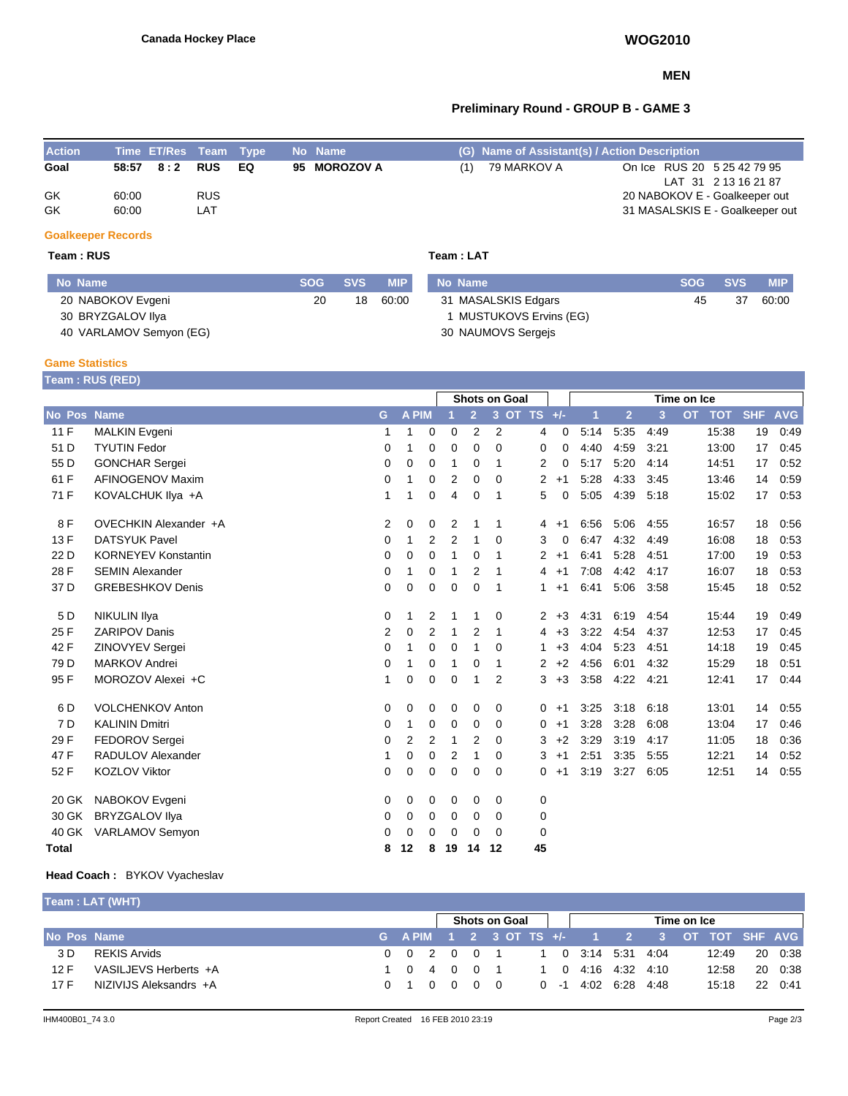## **MEN**

# **Preliminary Round - GROUP B - GAME 3**

| <b>Action</b> |       | Time ET/Res Team Type |            |     | No Name      |     | (G) Name of Assistant(s) / Action Description |                                 |                      |
|---------------|-------|-----------------------|------------|-----|--------------|-----|-----------------------------------------------|---------------------------------|----------------------|
| Goal          |       | 58:57 8:2             | RUS        | EQ. | 95 MOROZOV A | (1) | 79 MARKOV A                                   | On Ice RUS 20 5 25 42 79 95     |                      |
|               |       |                       |            |     |              |     |                                               |                                 | LAT 31 2 13 16 21 87 |
| GK            | 60:00 |                       | <b>RUS</b> |     |              |     |                                               | 20 NABOKOV E - Goalkeeper out   |                      |
| GK            | 60:00 |                       | LAT        |     |              |     |                                               | 31 MASALSKIS E - Goalkeeper out |                      |
|               |       |                       |            |     |              |     |                                               |                                 |                      |

# **Goalkeeper Records**

# **Team : RUS Team : LAT**

| No Name                 | <b>SOG</b> | <b>SVS</b> | <b>MIP</b> | No Name               | <b>SOG</b> | <b>SVS</b> | <b>MIP</b> |
|-------------------------|------------|------------|------------|-----------------------|------------|------------|------------|
| 20 NABOKOV Evgeni       | 20         | 18         | 60:00      | 31 MASALSKIS Edgars   | 45         | 37         | 60:00      |
| 30 BRYZGALOV IIya       |            |            |            | MUSTUKOVS Ervins (EG) |            |            |            |
| 40 VARLAMOV Semyon (EG) |            |            |            | 30 NAUMOVS Sergejs    |            |            |            |

# **Game Statistics**

|                 | <b>Feam:RUS (RED)</b>      |                |              |                |             |                |                      |                      |      |      |                |      |             |            |            |            |
|-----------------|----------------------------|----------------|--------------|----------------|-------------|----------------|----------------------|----------------------|------|------|----------------|------|-------------|------------|------------|------------|
|                 |                            |                |              |                |             |                | <b>Shots on Goal</b> |                      |      |      |                |      | Time on Ice |            |            |            |
| No Pos Name     |                            | G              | <b>A PIM</b> |                |             | $\overline{2}$ | 3 <sup>2</sup>       | OT TS $+/-$          |      | 1    | $\overline{2}$ | 3    | <b>OT</b>   | <b>TOT</b> | <b>SHF</b> | <b>AVG</b> |
| 11F             | <b>MALKIN Evgeni</b>       | 1              | 1            | $\mathbf 0$    | $\mathbf 0$ | $\overline{2}$ | $\overline{2}$       | 4                    | 0    | 5:14 | 5:35           | 4:49 |             | 15:38      | 19         | 0:49       |
| 51 D            | <b>TYUTIN Fedor</b>        | $\Omega$       | 1            | $\mathbf 0$    | 0           | 0              | $\Omega$             | 0                    | 0    | 4:40 | 4:59           | 3:21 |             | 13:00      | 17         | 0:45       |
| 55 D            | <b>GONCHAR Sergei</b>      | 0              | 0            | 0              | 1           | 0              | 1                    | 2                    | 0    | 5:17 | 5:20           | 4:14 |             | 14:51      | 17         | 0.52       |
| 61 F            | AFINOGENOV Maxim           | 0              | 1            | 0              | 2           | 0              | 0                    | 2                    | $+1$ | 5:28 | 4:33           | 3:45 |             | 13:46      | 14         | 0:59       |
| 71 F            | KOVALCHUK IIya +A          | 1              | 1            | 0              | 4           | 0              | 1                    | 5                    | 0    | 5:05 | 4:39           | 5:18 |             | 15:02      | 17         | 0.53       |
| 8F              | OVECHKIN Alexander +A      | 2              | 0            | 0              | 2           | 1              | 1                    | 4                    | $+1$ | 6:56 | 5:06           | 4:55 |             | 16:57      | 18         | 0:56       |
| 13F             | <b>DATSYUK Pavel</b>       | 0              | 1            | 2              | 2           | 1              | 0                    | 3                    | 0    | 6:47 | 4:32           | 4:49 |             | 16:08      | 18         | 0.53       |
| 22 D            | <b>KORNEYEV Konstantin</b> | 0              | 0            | 0              | 1           | 0              | 1                    | 2                    | $+1$ | 6:41 | 5:28           | 4:51 |             | 17:00      | 19         | 0.53       |
| 28 F            | <b>SEMIN Alexander</b>     | 0              | 1            | 0              | 1           | 2              | 1                    | 4                    | $+1$ | 7:08 | 4:42           | 4:17 |             | 16:07      | 18         | 0.53       |
| 37 D            | <b>GREBESHKOV Denis</b>    | 0              | $\mathbf 0$  | $\mathbf 0$    | 0           | 0              | $\mathbf 1$          | 1                    | $+1$ | 6:41 | 5:06           | 3:58 |             | 15:45      | 18         | 0:52       |
| 5 D             | <b>NIKULIN Ilya</b>        | 0              | 1            | 2              | 1           | 1              | 0                    | $\mathbf{2}^{\circ}$ | $+3$ | 4:31 | 6:19           | 4.54 |             | 15:44      | 19         | 0:49       |
| 25 F            | <b>ZARIPOV Danis</b>       | $\overline{2}$ | 0            | $\overline{2}$ | 1           | 2              | $\mathbf 1$          | 4                    | $+3$ | 3:22 | 4:54           | 4:37 |             | 12:53      | 17         | 0:45       |
| 42 F            | ZINOVYEV Sergei            | 0              | 1            | 0              | 0           | 1              | 0                    | 1.                   | $+3$ | 4:04 | 5:23           | 4:51 |             | 14:18      | 19         | 0.45       |
| 79 <sub>D</sub> | <b>MARKOV Andrei</b>       | 0              | 1            | 0              | 1           | 0              | 1                    | 2                    | $+2$ | 4:56 | 6:01           | 4:32 |             | 15:29      | 18         | 0:51       |
| 95 F            | MOROZOV Alexei +C          | 1              | 0            | 0              | 0           | 1              | 2                    | 3                    | $+3$ | 3:58 | 4:22           | 4:21 |             | 12:41      | 17         | 0.44       |
| 6 D             | <b>VOLCHENKOV Anton</b>    | 0              | 0            | 0              | 0           | 0              | 0                    | $\mathbf{0}$         | $+1$ | 3:25 | 3:18           | 6:18 |             | 13:01      | 14         | 0:55       |
| 7 D             | <b>KALININ Dmitri</b>      | 0              | 1            | 0              | 0           | 0              | 0                    | 0                    | $+1$ | 3:28 | 3:28           | 6:08 |             | 13:04      | 17         | 0.46       |
| 29 F            | FEDOROV Sergei             | $\Omega$       | 2            | 2              | 1           | 2              | 0                    | 3                    | $+2$ | 3:29 | 3:19           | 4:17 |             | 11:05      | 18         | 0:36       |
| 47 F            | RADULOV Alexander          | 1              | 0            | 0              | 2           | 1              | 0                    | 3                    | $+1$ | 2:51 | 3:35           | 5:55 |             | 12:21      | 14         | 0:52       |
| 52 F            | <b>KOZLOV Viktor</b>       | 0              | 0            | $\mathbf 0$    | 0           | 0              | 0                    | 0                    | $+1$ | 3:19 | 3:27           | 6:05 |             | 12:51      | 14         | 0.55       |
| 20 GK           | NABOKOV Evgeni             | 0              | 0            | 0              | 0           | 0              | 0                    | 0                    |      |      |                |      |             |            |            |            |
| 30 GK           | <b>BRYZGALOV IIva</b>      | 0              | 0            | 0              | 0           | 0              | 0                    | 0                    |      |      |                |      |             |            |            |            |
| 40 GK           | VARLAMOV Semyon            | 0              | 0            | 0              | 0           | 0              | $\Omega$             | 0                    |      |      |                |      |             |            |            |            |
| Total           |                            | 8              | 12           | 8              | 19          | 14             | 12                   | 45                   |      |      |                |      |             |            |            |            |

## **Head Coach :** BYKOV Vyacheslav

| Team : LAT (WHT) |  |
|------------------|--|
|                  |  |

ř.

|             |                        |  |  |  | Shots on Goal                               |                                               |  | Time on Ice |       |         |
|-------------|------------------------|--|--|--|---------------------------------------------|-----------------------------------------------|--|-------------|-------|---------|
| No Pos Name |                        |  |  |  | G APIM 1 2 3 OT TS +/- 1 2 3 OT TOT SHF AVG |                                               |  |             |       |         |
| 3 D.        | REKIS Arvids           |  |  |  | 0 0 2 0 0 1 1 0 3:14 5:31 4:04              |                                               |  |             | 12:49 | 20 0:38 |
| 12 F        | VASILJEVS Herberts +A  |  |  |  | 1 0 4 0 0 1 1 0 4:16 4:32 4:10              |                                               |  |             | 12:58 | 20 0:38 |
| 17 F        | NIZIVIJS Aleksandrs +A |  |  |  | 010000                                      | $0 \quad -1 \quad 4:02 \quad 6:28 \quad 4:48$ |  |             | 15:18 | 22 0:41 |